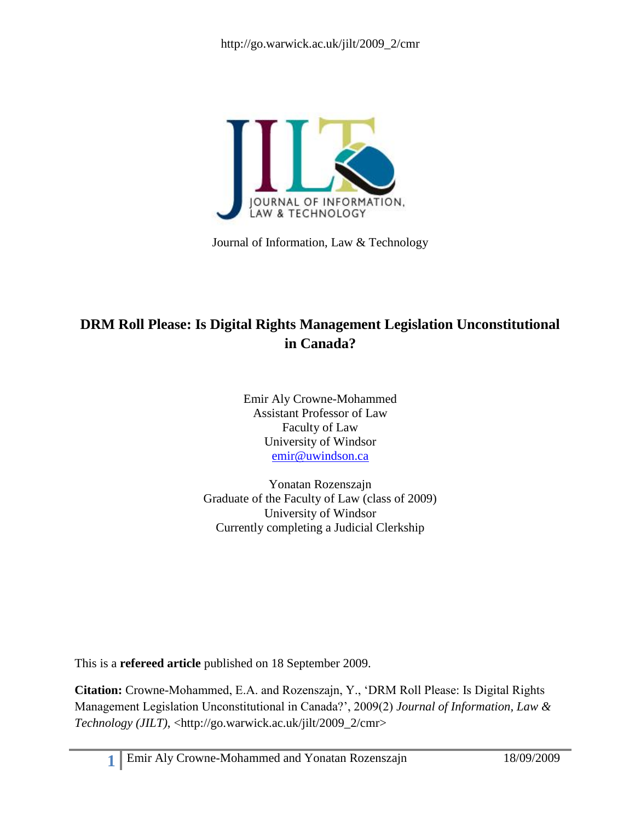

Journal of Information, Law & Technology

# **DRM Roll Please: Is Digital Rights Management Legislation Unconstitutional in Canada?**

Emir Aly Crowne-Mohammed Assistant Professor of Law Faculty of Law University of Windsor [emir@uwindson.ca](mailto:emir@uwindson.ca)

Yonatan Rozenszajn Graduate of the Faculty of Law (class of 2009) University of Windsor Currently completing a Judicial Clerkship

This is a **refereed article** published on 18 September 2009.

**Citation:** Crowne-Mohammed, E.A. and Rozenszajn, Y., ‗DRM Roll Please: Is Digital Rights Management Legislation Unconstitutional in Canada?', 2009(2) *Journal of Information, Law & Technology (JILT)*, <http://go.warwick.ac.uk/jilt/2009\_2/cmr>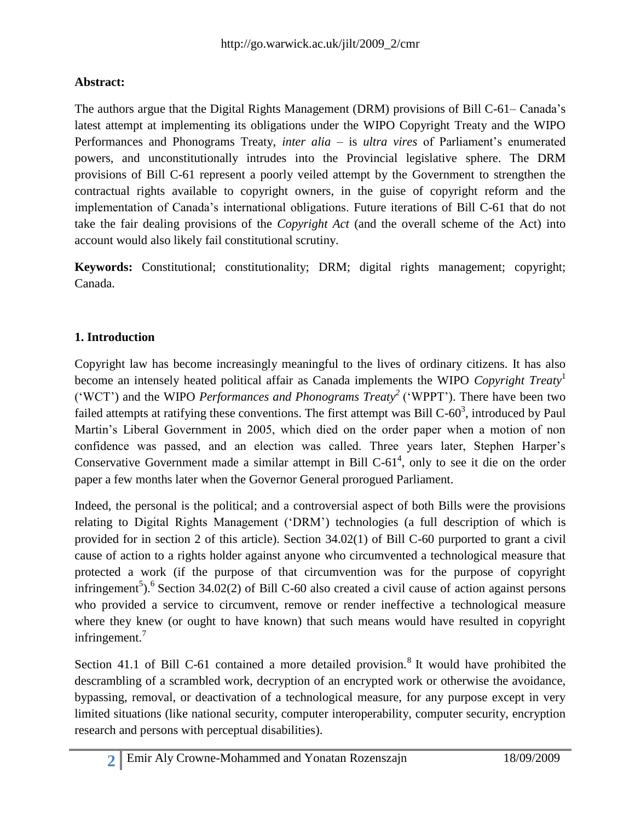### **Abstract:**

The authors argue that the Digital Rights Management (DRM) provisions of Bill C-61– Canada's latest attempt at implementing its obligations under the WIPO Copyright Treaty and the WIPO Performances and Phonograms Treaty, *inter alia* – is *ultra vires* of Parliament's enumerated powers, and unconstitutionally intrudes into the Provincial legislative sphere. The DRM provisions of Bill C-61 represent a poorly veiled attempt by the Government to strengthen the contractual rights available to copyright owners, in the guise of copyright reform and the implementation of Canada's international obligations. Future iterations of Bill C-61 that do not take the fair dealing provisions of the *Copyright Act* (and the overall scheme of the Act) into account would also likely fail constitutional scrutiny.

**Keywords:** Constitutional; constitutionality; DRM; digital rights management; copyright; Canada.

### **1. Introduction**

Copyright law has become increasingly meaningful to the lives of ordinary citizens. It has also become an intensely heated political affair as Canada implements the WIPO *Copyright Treaty*<sup>1</sup> ('WCT') and the WIPO *Performances and Phonograms Treaty*<sup>2</sup> ('WPPT'). There have been two failed attempts at ratifying these conventions. The first attempt was Bill  $C$ -60<sup>3</sup>, introduced by Paul Martin's Liberal Government in 2005, which died on the order paper when a motion of non confidence was passed, and an election was called. Three years later, Stephen Harper's Conservative Government made a similar attempt in Bill  $C-61<sup>4</sup>$ , only to see it die on the order paper a few months later when the Governor General prorogued Parliament.

Indeed, the personal is the political; and a controversial aspect of both Bills were the provisions relating to Digital Rights Management ('DRM') technologies (a full description of which is provided for in section 2 of this article). Section 34.02(1) of Bill C-60 purported to grant a civil cause of action to a rights holder against anyone who circumvented a technological measure that protected a work (if the purpose of that circumvention was for the purpose of copyright infringement<sup>5</sup>).<sup>6</sup> Section 34.02(2) of Bill C-60 also created a civil cause of action against persons who provided a service to circumvent, remove or render ineffective a technological measure where they knew (or ought to have known) that such means would have resulted in copyright infringement.<sup>7</sup>

Section 41.1 of Bill C-61 contained a more detailed provision.<sup>8</sup> It would have prohibited the descrambling of a scrambled work, decryption of an encrypted work or otherwise the avoidance, bypassing, removal, or deactivation of a technological measure, for any purpose except in very limited situations (like national security, computer interoperability, computer security, encryption research and persons with perceptual disabilities).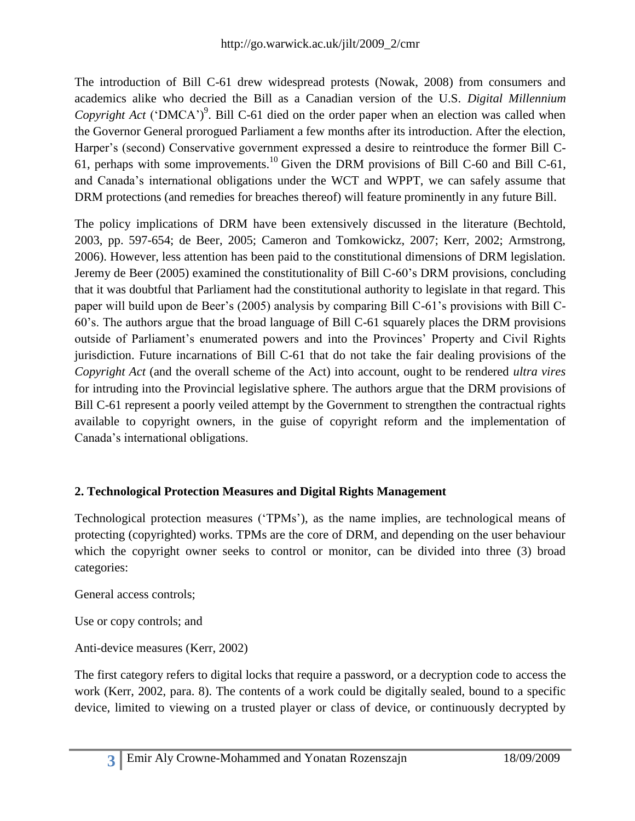The introduction of Bill C-61 drew widespread protests (Nowak, 2008) from consumers and academics alike who decried the Bill as a Canadian version of the U.S. *Digital Millennium Copyright Act* ('DMCA')<sup>9</sup>. Bill C-61 died on the order paper when an election was called when the Governor General prorogued Parliament a few months after its introduction. After the election, Harper's (second) Conservative government expressed a desire to reintroduce the former Bill C-61, perhaps with some improvements.<sup>10</sup> Given the DRM provisions of Bill C-60 and Bill C-61, and Canada's international obligations under the WCT and WPPT, we can safely assume that DRM protections (and remedies for breaches thereof) will feature prominently in any future Bill.

The policy implications of DRM have been extensively discussed in the literature (Bechtold, 2003, pp. 597-654; de Beer, 2005; Cameron and Tomkowickz, 2007; Kerr, 2002; Armstrong, 2006). However, less attention has been paid to the constitutional dimensions of DRM legislation. Jeremy de Beer (2005) examined the constitutionality of Bill C-60's DRM provisions, concluding that it was doubtful that Parliament had the constitutional authority to legislate in that regard. This paper will build upon de Beer's (2005) analysis by comparing Bill C-61's provisions with Bill C-60's. The authors argue that the broad language of Bill C-61 squarely places the DRM provisions outside of Parliament's enumerated powers and into the Provinces' Property and Civil Rights jurisdiction. Future incarnations of Bill C-61 that do not take the fair dealing provisions of the *Copyright Act* (and the overall scheme of the Act) into account, ought to be rendered *ultra vires* for intruding into the Provincial legislative sphere. The authors argue that the DRM provisions of Bill C-61 represent a poorly veiled attempt by the Government to strengthen the contractual rights available to copyright owners, in the guise of copyright reform and the implementation of Canada's international obligations.

### **2. Technological Protection Measures and Digital Rights Management**

Technological protection measures ('TPMs'), as the name implies, are technological means of protecting (copyrighted) works. TPMs are the core of DRM, and depending on the user behaviour which the copyright owner seeks to control or monitor, can be divided into three (3) broad categories:

General access controls;

Use or copy controls; and

Anti-device measures (Kerr, 2002)

The first category refers to digital locks that require a password, or a decryption code to access the work (Kerr, 2002, para. 8). The contents of a work could be digitally sealed, bound to a specific device, limited to viewing on a trusted player or class of device, or continuously decrypted by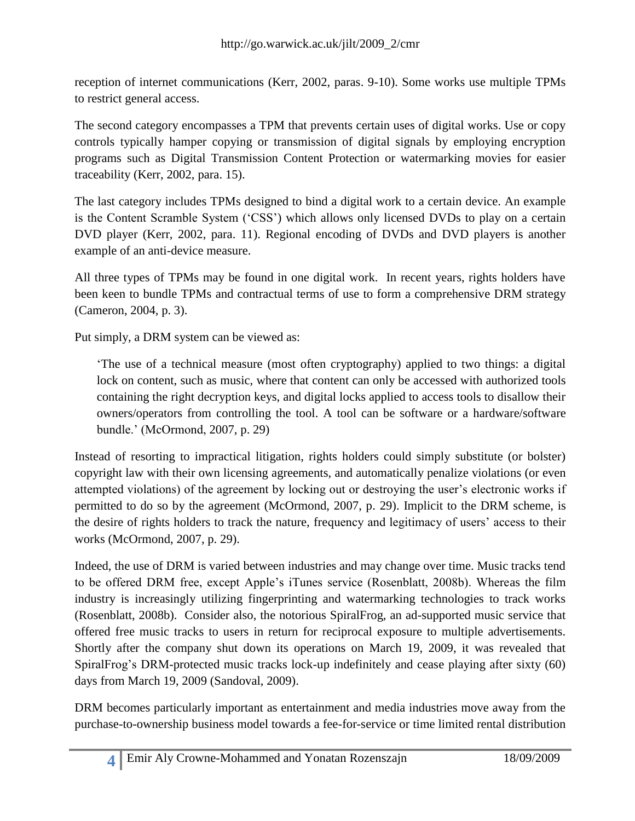reception of internet communications (Kerr, 2002, paras. 9-10). Some works use multiple TPMs to restrict general access.

The second category encompasses a TPM that prevents certain uses of digital works. Use or copy controls typically hamper copying or transmission of digital signals by employing encryption programs such as Digital Transmission Content Protection or watermarking movies for easier traceability (Kerr, 2002, para. 15).

The last category includes TPMs designed to bind a digital work to a certain device. An example is the Content Scramble System ('CSS') which allows only licensed DVDs to play on a certain DVD player (Kerr, 2002, para. 11). Regional encoding of DVDs and DVD players is another example of an anti-device measure.

All three types of TPMs may be found in one digital work. In recent years, rights holders have been keen to bundle TPMs and contractual terms of use to form a comprehensive DRM strategy (Cameron, 2004, p. 3).

Put simply, a DRM system can be viewed as:

‗The use of a technical measure (most often cryptography) applied to two things: a digital lock on content, such as music, where that content can only be accessed with authorized tools containing the right decryption keys, and digital locks applied to access tools to disallow their owners/operators from controlling the tool. A tool can be software or a hardware/software bundle.' (McOrmond, 2007, p. 29)

Instead of resorting to impractical litigation, rights holders could simply substitute (or bolster) copyright law with their own licensing agreements, and automatically penalize violations (or even attempted violations) of the agreement by locking out or destroying the user's electronic works if permitted to do so by the agreement (McOrmond, 2007, p. 29). Implicit to the DRM scheme, is the desire of rights holders to track the nature, frequency and legitimacy of users' access to their works (McOrmond, 2007, p. 29).

Indeed, the use of DRM is varied between industries and may change over time. Music tracks tend to be offered DRM free, except Apple's iTunes service (Rosenblatt, 2008b). Whereas the film industry is increasingly utilizing fingerprinting and watermarking technologies to track works (Rosenblatt, 2008b). Consider also, the notorious SpiralFrog, an ad-supported music service that offered free music tracks to users in return for reciprocal exposure to multiple advertisements. Shortly after the company shut down its operations on March 19, 2009, it was revealed that SpiralFrog's DRM-protected music tracks lock-up indefinitely and cease playing after sixty (60) days from March 19, 2009 (Sandoval, 2009).

DRM becomes particularly important as entertainment and media industries move away from the purchase-to-ownership business model towards a fee-for-service or time limited rental distribution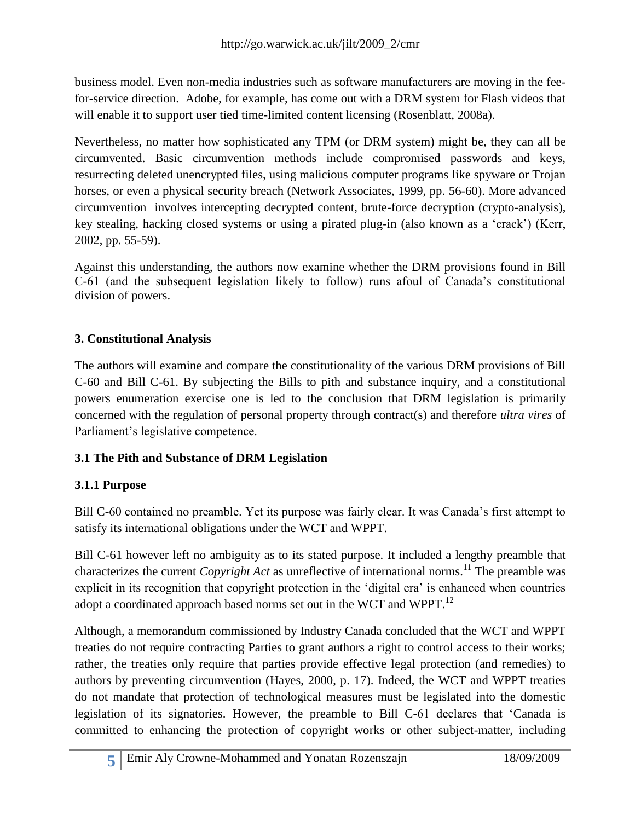business model. Even non-media industries such as software manufacturers are moving in the feefor-service direction. Adobe, for example, has come out with a DRM system for Flash videos that will enable it to support user tied time-limited content licensing (Rosenblatt, 2008a).

Nevertheless, no matter how sophisticated any TPM (or DRM system) might be, they can all be circumvented. Basic circumvention methods include compromised passwords and keys, resurrecting deleted unencrypted files, using malicious computer programs like spyware or Trojan horses, or even a physical security breach (Network Associates, 1999, pp. 56-60). More advanced circumvention involves intercepting decrypted content, brute-force decryption (crypto-analysis), key stealing, hacking closed systems or using a pirated plug-in (also known as a 'crack') (Kerr, 2002, pp. 55-59).

Against this understanding, the authors now examine whether the DRM provisions found in Bill C-61 (and the subsequent legislation likely to follow) runs afoul of Canada's constitutional division of powers.

### **3. Constitutional Analysis**

The authors will examine and compare the constitutionality of the various DRM provisions of Bill C-60 and Bill C-61. By subjecting the Bills to pith and substance inquiry, and a constitutional powers enumeration exercise one is led to the conclusion that DRM legislation is primarily concerned with the regulation of personal property through contract(s) and therefore *ultra vires* of Parliament's legislative competence.

#### **3.1 The Pith and Substance of DRM Legislation**

### **3.1.1 Purpose**

Bill C-60 contained no preamble. Yet its purpose was fairly clear. It was Canada's first attempt to satisfy its international obligations under the WCT and WPPT.

Bill C-61 however left no ambiguity as to its stated purpose. It included a lengthy preamble that characterizes the current *Copyright Act* as unreflective of international norms.<sup>11</sup> The preamble was explicit in its recognition that copyright protection in the 'digital era' is enhanced when countries adopt a coordinated approach based norms set out in the WCT and WPPT.<sup>12</sup>

Although, a memorandum commissioned by Industry Canada concluded that the WCT and WPPT treaties do not require contracting Parties to grant authors a right to control access to their works; rather, the treaties only require that parties provide effective legal protection (and remedies) to authors by preventing circumvention (Hayes, 2000, p. 17). Indeed, the WCT and WPPT treaties do not mandate that protection of technological measures must be legislated into the domestic legislation of its signatories. However, the preamble to Bill C-61 declares that 'Canada is committed to enhancing the protection of copyright works or other subject-matter, including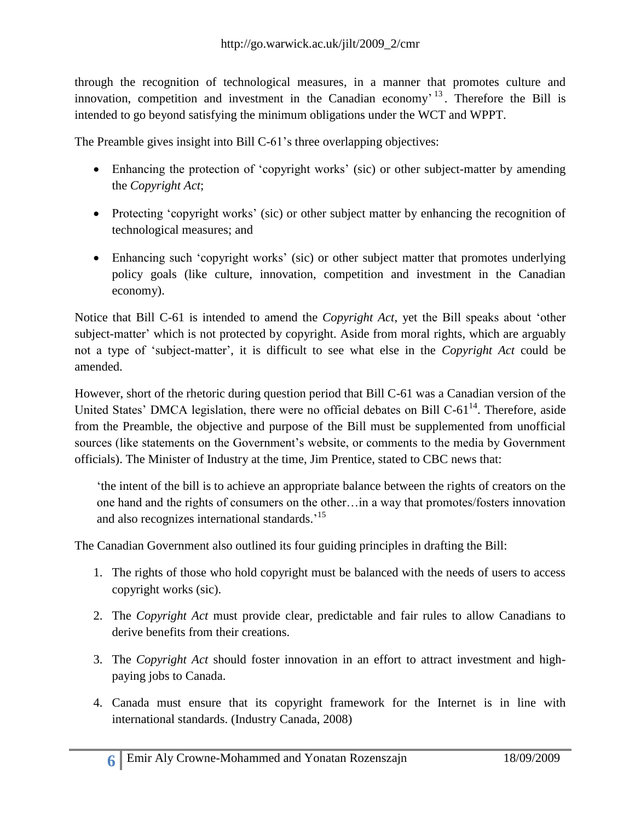through the recognition of technological measures, in a manner that promotes culture and innovation, competition and investment in the Canadian economy<sup> $13$ </sup>. Therefore the Bill is intended to go beyond satisfying the minimum obligations under the WCT and WPPT.

The Preamble gives insight into Bill C-61's three overlapping objectives:

- Enhancing the protection of 'copyright works' (sic) or other subject-matter by amending the *Copyright Act*;
- Protecting 'copyright works' (sic) or other subject matter by enhancing the recognition of technological measures; and
- Enhancing such 'copyright works' (sic) or other subject matter that promotes underlying policy goals (like culture, innovation, competition and investment in the Canadian economy).

Notice that Bill C-61 is intended to amend the *Copyright Act*, yet the Bill speaks about 'other subject-matter' which is not protected by copyright. Aside from moral rights, which are arguably not a type of ‗subject-matter', it is difficult to see what else in the *Copyright Act* could be amended.

However, short of the rhetoric during question period that Bill C-61 was a Canadian version of the United States' DMCA legislation, there were no official debates on Bill C-61<sup>14</sup>. Therefore, aside from the Preamble, the objective and purpose of the Bill must be supplemented from unofficial sources (like statements on the Government's website, or comments to the media by Government officials). The Minister of Industry at the time, Jim Prentice, stated to CBC news that:

‗the intent of the bill is to achieve an appropriate balance between the rights of creators on the one hand and the rights of consumers on the other…in a way that promotes/fosters innovation and also recognizes international standards.<sup>15</sup>

The Canadian Government also outlined its four guiding principles in drafting the Bill:

- 1. The rights of those who hold copyright must be balanced with the needs of users to access copyright works (sic).
- 2. The *Copyright Act* must provide clear, predictable and fair rules to allow Canadians to derive benefits from their creations.
- 3. The *Copyright Act* should foster innovation in an effort to attract investment and highpaying jobs to Canada.
- 4. Canada must ensure that its copyright framework for the Internet is in line with international standards. (Industry Canada, 2008)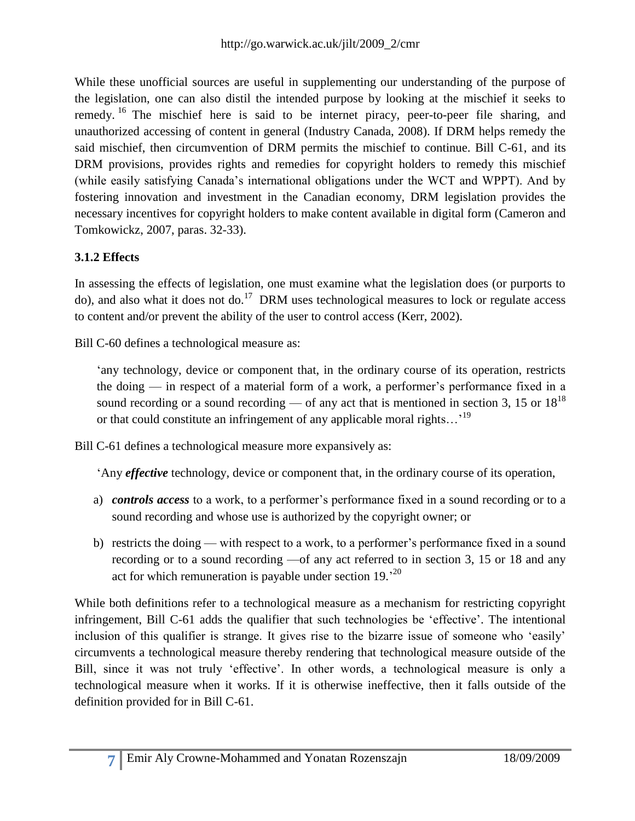While these unofficial sources are useful in supplementing our understanding of the purpose of the legislation, one can also distil the intended purpose by looking at the mischief it seeks to remedy. <sup>16</sup> The mischief here is said to be internet piracy, peer-to-peer file sharing, and unauthorized accessing of content in general (Industry Canada, 2008). If DRM helps remedy the said mischief, then circumvention of DRM permits the mischief to continue. Bill C-61, and its DRM provisions, provides rights and remedies for copyright holders to remedy this mischief (while easily satisfying Canada's international obligations under the WCT and WPPT). And by fostering innovation and investment in the Canadian economy, DRM legislation provides the necessary incentives for copyright holders to make content available in digital form (Cameron and Tomkowickz, 2007, paras. 32-33).

### **3.1.2 Effects**

In assessing the effects of legislation, one must examine what the legislation does (or purports to do), and also what it does not do.<sup>17</sup> DRM uses technological measures to lock or regulate access to content and/or prevent the ability of the user to control access (Kerr, 2002).

Bill C-60 defines a technological measure as:

'any technology, device or component that, in the ordinary course of its operation, restricts the doing — in respect of a material form of a work, a performer's performance fixed in a sound recording or a sound recording — of any act that is mentioned in section 3, 15 or  $18^{18}$ or that could constitute an infringement of any applicable moral rights...<sup>19</sup>

Bill C-61 defines a technological measure more expansively as:

‗Any *effective* technology, device or component that, in the ordinary course of its operation,

- a) *controls access* to a work, to a performer's performance fixed in a sound recording or to a sound recording and whose use is authorized by the copyright owner; or
- b) restricts the doing with respect to a work, to a performer's performance fixed in a sound recording or to a sound recording —of any act referred to in section 3, 15 or 18 and any act for which remuneration is payable under section 19.<sup>20</sup>

While both definitions refer to a technological measure as a mechanism for restricting copyright infringement, Bill C-61 adds the qualifier that such technologies be ‗effective'. The intentional inclusion of this qualifier is strange. It gives rise to the bizarre issue of someone who 'easily' circumvents a technological measure thereby rendering that technological measure outside of the Bill, since it was not truly 'effective'. In other words, a technological measure is only a technological measure when it works. If it is otherwise ineffective, then it falls outside of the definition provided for in Bill C-61.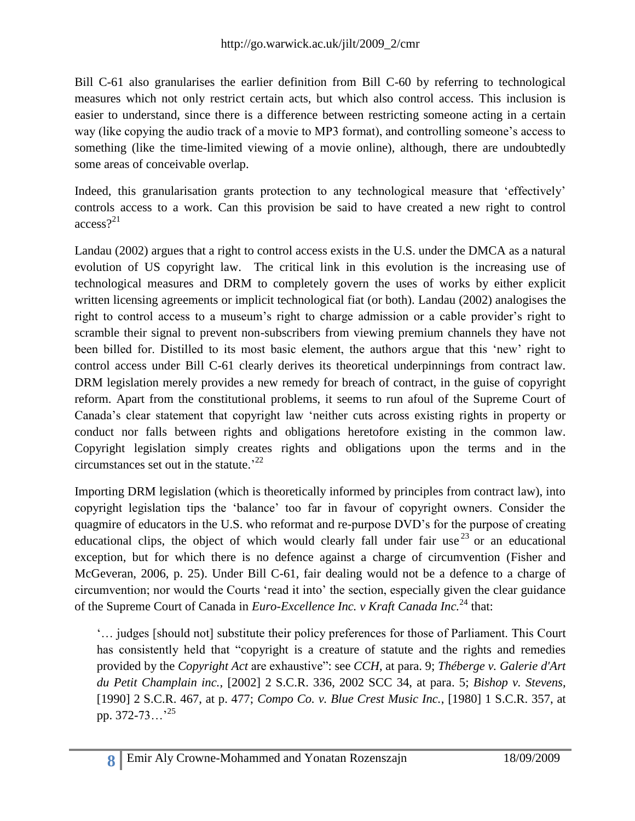Bill C-61 also granularises the earlier definition from Bill C-60 by referring to technological measures which not only restrict certain acts, but which also control access. This inclusion is easier to understand, since there is a difference between restricting someone acting in a certain way (like copying the audio track of a movie to MP3 format), and controlling someone's access to something (like the time-limited viewing of a movie online), although, there are undoubtedly some areas of conceivable overlap.

Indeed, this granularisation grants protection to any technological measure that 'effectively' controls access to a work. Can this provision be said to have created a new right to control access? 21

Landau (2002) argues that a right to control access exists in the U.S. under the DMCA as a natural evolution of US copyright law. The critical link in this evolution is the increasing use of technological measures and DRM to completely govern the uses of works by either explicit written licensing agreements or implicit technological fiat (or both). Landau (2002) analogises the right to control access to a museum's right to charge admission or a cable provider's right to scramble their signal to prevent non-subscribers from viewing premium channels they have not been billed for. Distilled to its most basic element, the authors argue that this 'new' right to control access under Bill C-61 clearly derives its theoretical underpinnings from contract law. DRM legislation merely provides a new remedy for breach of contract, in the guise of copyright reform. Apart from the constitutional problems, it seems to run afoul of the Supreme Court of Canada's clear statement that copyright law 'neither cuts across existing rights in property or conduct nor falls between rights and obligations heretofore existing in the common law. Copyright legislation simply creates rights and obligations upon the terms and in the circumstances set out in the statute.<sup>22</sup>

Importing DRM legislation (which is theoretically informed by principles from contract law), into copyright legislation tips the 'balance' too far in favour of copyright owners. Consider the quagmire of educators in the U.S. who reformat and re-purpose DVD's for the purpose of creating educational clips, the object of which would clearly fall under fair use  $^{23}$  or an educational exception, but for which there is no defence against a charge of circumvention (Fisher and McGeveran, 2006, p. 25). Under Bill C-61, fair dealing would not be a defence to a charge of circumvention; nor would the Courts 'read it into' the section, especially given the clear guidance of the Supreme Court of Canada in *Euro-Excellence Inc. v Kraft Canada Inc.*<sup>24</sup> that:

‗… judges [should not] substitute their policy preferences for those of Parliament. This Court has consistently held that "copyright is a creature of statute and the rights and remedies provided by the *Copyright Act* are exhaustive": see *CCH*, at para. 9; *Théberge v. Galerie d'Art du Petit Champlain inc.*, [2002] 2 S.C.R. 336, 2002 SCC 34, at para. 5; *Bishop v. Stevens*, [1990] 2 S.C.R. 467, at p. 477; *Compo Co. v. Blue Crest Music Inc.*, [1980] 1 S.C.R. 357, at pp. 372-73...<sup>'25</sup>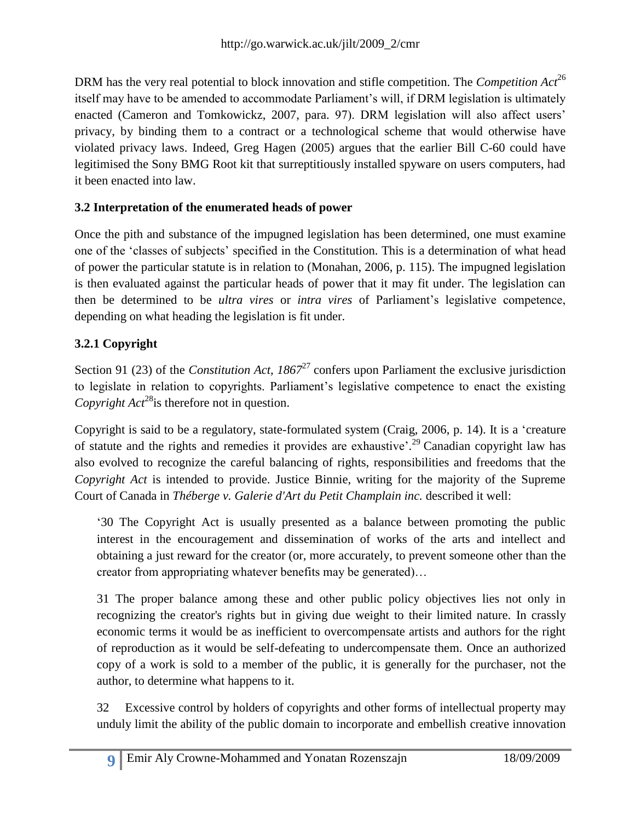DRM has the very real potential to block innovation and stifle competition. The *Competition Act*<sup>26</sup> itself may have to be amended to accommodate Parliament's will, if DRM legislation is ultimately enacted (Cameron and Tomkowickz, 2007, para. 97). DRM legislation will also affect users' privacy, by binding them to a contract or a technological scheme that would otherwise have violated privacy laws. Indeed, Greg Hagen (2005) argues that the earlier Bill C-60 could have legitimised the Sony BMG Root kit that surreptitiously installed spyware on users computers, had it been enacted into law.

### **3.2 Interpretation of the enumerated heads of power**

Once the pith and substance of the impugned legislation has been determined, one must examine one of the 'classes of subjects' specified in the Constitution. This is a determination of what head of power the particular statute is in relation to (Monahan, 2006, p. 115). The impugned legislation is then evaluated against the particular heads of power that it may fit under. The legislation can then be determined to be *ultra vires* or *intra vires* of Parliament's legislative competence, depending on what heading the legislation is fit under.

### **3.2.1 Copyright**

Section 91 (23) of the *Constitution Act, 1867*<sup>27</sup> confers upon Parliament the exclusive jurisdiction to legislate in relation to copyrights. Parliament's legislative competence to enact the existing *Copyright Act*<sup>28</sup>is therefore not in question.

Copyright is said to be a regulatory, state-formulated system (Craig, 2006, p. 14). It is a 'creature of statute and the rights and remedies it provides are exhaustive<sup> $2<sup>9</sup>$ </sup> Canadian copyright law has also evolved to recognize the careful balancing of rights, responsibilities and freedoms that the *Copyright Act* is intended to provide. Justice Binnie, writing for the majority of the Supreme Court of Canada in *Théberge v. Galerie d'Art du Petit Champlain inc.* described it well:

‗30 The Copyright Act is usually presented as a balance between promoting the public interest in the encouragement and dissemination of works of the arts and intellect and obtaining a just reward for the creator (or, more accurately, to prevent someone other than the creator from appropriating whatever benefits may be generated)…

31 The proper balance among these and other public policy objectives lies not only in recognizing the creator's rights but in giving due weight to their limited nature. In crassly economic terms it would be as inefficient to overcompensate artists and authors for the right of reproduction as it would be self-defeating to undercompensate them. Once an authorized copy of a work is sold to a member of the public, it is generally for the purchaser, not the author, to determine what happens to it.

32 Excessive control by holders of copyrights and other forms of intellectual property may unduly limit the ability of the public domain to incorporate and embellish creative innovation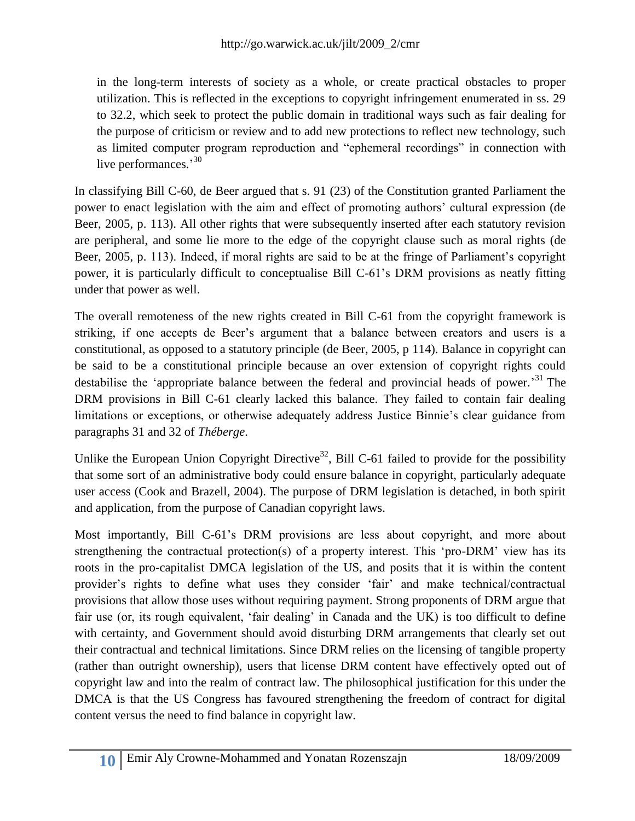in the long-term interests of society as a whole, or create practical obstacles to proper utilization. This is reflected in the exceptions to copyright infringement enumerated in ss. 29 to 32.2, which seek to protect the public domain in traditional ways such as fair dealing for the purpose of criticism or review and to add new protections to reflect new technology, such as limited computer program reproduction and "ephemeral recordings" in connection with live performances.<sup>30</sup>

In classifying Bill C-60, de Beer argued that s. 91 (23) of the Constitution granted Parliament the power to enact legislation with the aim and effect of promoting authors' cultural expression (de Beer, 2005, p. 113). All other rights that were subsequently inserted after each statutory revision are peripheral, and some lie more to the edge of the copyright clause such as moral rights (de Beer, 2005, p. 113). Indeed, if moral rights are said to be at the fringe of Parliament's copyright power, it is particularly difficult to conceptualise Bill C-61's DRM provisions as neatly fitting under that power as well.

The overall remoteness of the new rights created in Bill C-61 from the copyright framework is striking, if one accepts de Beer's argument that a balance between creators and users is a constitutional, as opposed to a statutory principle (de Beer, 2005, p 114). Balance in copyright can be said to be a constitutional principle because an over extension of copyright rights could destabilise the 'appropriate balance between the federal and provincial heads of power.<sup>31</sup> The DRM provisions in Bill C-61 clearly lacked this balance. They failed to contain fair dealing limitations or exceptions, or otherwise adequately address Justice Binnie's clear guidance from paragraphs 31 and 32 of *Théberge*.

Unlike the European Union Copyright Directive<sup>32</sup>, Bill C-61 failed to provide for the possibility that some sort of an administrative body could ensure balance in copyright, particularly adequate user access (Cook and Brazell, 2004). The purpose of DRM legislation is detached, in both spirit and application, from the purpose of Canadian copyright laws.

Most importantly, Bill C-61's DRM provisions are less about copyright, and more about strengthening the contractual protection(s) of a property interest. This 'pro-DRM' view has its roots in the pro-capitalist DMCA legislation of the US, and posits that it is within the content provider's rights to define what uses they consider ‗fair' and make technical/contractual provisions that allow those uses without requiring payment. Strong proponents of DRM argue that fair use (or, its rough equivalent, 'fair dealing' in Canada and the UK) is too difficult to define with certainty, and Government should avoid disturbing DRM arrangements that clearly set out their contractual and technical limitations. Since DRM relies on the licensing of tangible property (rather than outright ownership), users that license DRM content have effectively opted out of copyright law and into the realm of contract law. The philosophical justification for this under the DMCA is that the US Congress has favoured strengthening the freedom of contract for digital content versus the need to find balance in copyright law.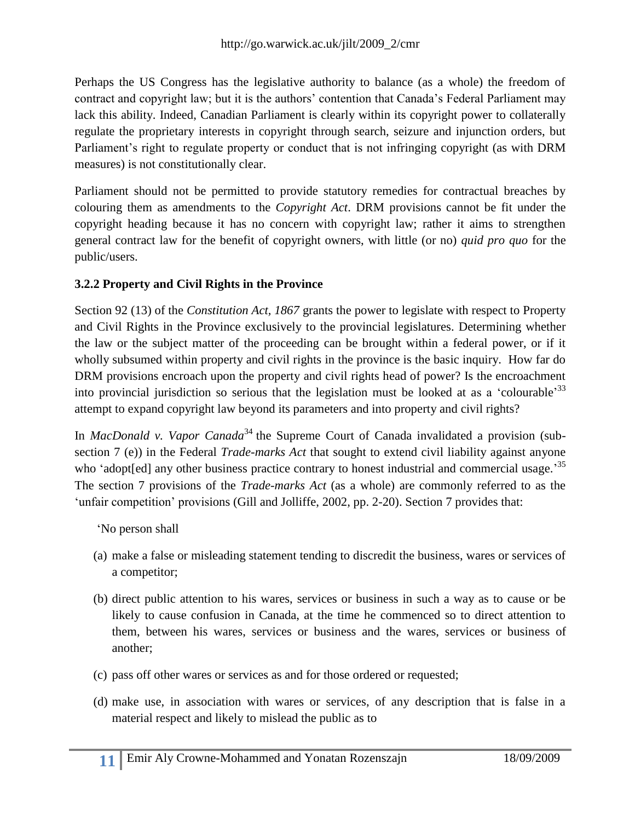Perhaps the US Congress has the legislative authority to balance (as a whole) the freedom of contract and copyright law; but it is the authors' contention that Canada's Federal Parliament may lack this ability. Indeed, Canadian Parliament is clearly within its copyright power to collaterally regulate the proprietary interests in copyright through search, seizure and injunction orders, but Parliament's right to regulate property or conduct that is not infringing copyright (as with DRM measures) is not constitutionally clear.

Parliament should not be permitted to provide statutory remedies for contractual breaches by colouring them as amendments to the *Copyright Act*. DRM provisions cannot be fit under the copyright heading because it has no concern with copyright law; rather it aims to strengthen general contract law for the benefit of copyright owners, with little (or no) *quid pro quo* for the public/users.

#### **3.2.2 Property and Civil Rights in the Province**

Section 92 (13) of the *Constitution Act, 1867* grants the power to legislate with respect to Property and Civil Rights in the Province exclusively to the provincial legislatures. Determining whether the law or the subject matter of the proceeding can be brought within a federal power, or if it wholly subsumed within property and civil rights in the province is the basic inquiry. How far do DRM provisions encroach upon the property and civil rights head of power? Is the encroachment into provincial jurisdiction so serious that the legislation must be looked at as a 'colourable'  $33$ attempt to expand copyright law beyond its parameters and into property and civil rights?

In *MacDonald v. Vapor Canada*<sup>34</sup> the Supreme Court of Canada invalidated a provision (subsection 7 (e)) in the Federal *Trade-marks Act* that sought to extend civil liability against anyone who 'adopt[ed] any other business practice contrary to honest industrial and commercial usage.<sup>35</sup> The section 7 provisions of the *Trade-marks Act* (as a whole) are commonly referred to as the 'unfair competition' provisions (Gill and Jolliffe, 2002, pp. 2-20). Section 7 provides that:

‗No person shall

- (a) make a false or misleading statement tending to discredit the business, wares or services of a competitor;
- (b) direct public attention to his wares, services or business in such a way as to cause or be likely to cause confusion in Canada, at the time he commenced so to direct attention to them, between his wares, services or business and the wares, services or business of another;
- (c) pass off other wares or services as and for those ordered or requested;
- (d) make use, in association with wares or services, of any description that is false in a material respect and likely to mislead the public as to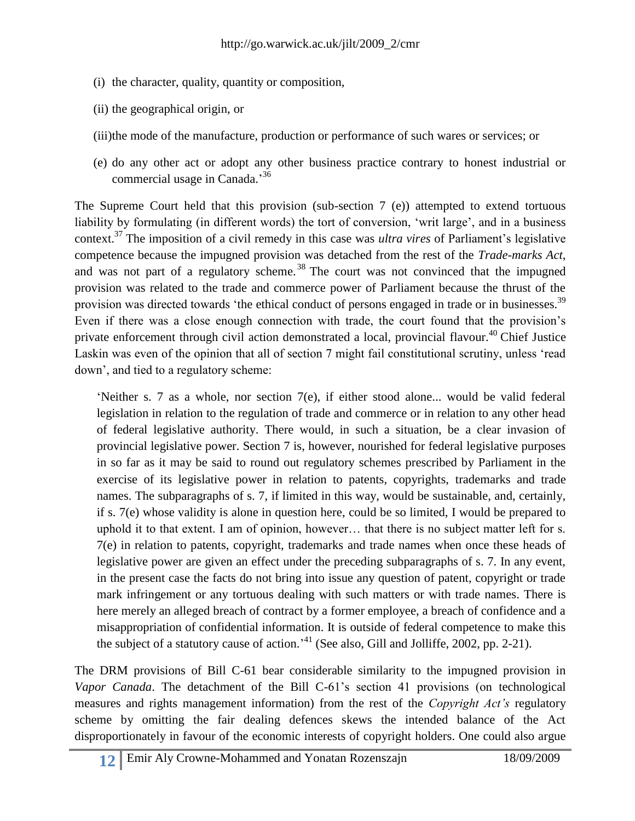- (i) the character, quality, quantity or composition,
- (ii) the geographical origin, or
- (iii)the mode of the manufacture, production or performance of such wares or services; or
- (e) do any other act or adopt any other business practice contrary to honest industrial or commercial usage in Canada.' 36

The Supreme Court held that this provision (sub-section 7 (e)) attempted to extend tortuous liability by formulating (in different words) the tort of conversion, 'writ large', and in a business context.<sup>37</sup> The imposition of a civil remedy in this case was *ultra vires* of Parliament's legislative competence because the impugned provision was detached from the rest of the *Trade-marks Act*, and was not part of a regulatory scheme.<sup>38</sup> The court was not convinced that the impugned provision was related to the trade and commerce power of Parliament because the thrust of the provision was directed towards 'the ethical conduct of persons engaged in trade or in businesses.<sup>39</sup> Even if there was a close enough connection with trade, the court found that the provision's private enforcement through civil action demonstrated a local, provincial flavour.<sup>40</sup> Chief Justice Laskin was even of the opinion that all of section 7 might fail constitutional scrutiny, unless 'read down', and tied to a regulatory scheme:

'Neither s. 7 as a whole, nor section  $7(e)$ , if either stood alone... would be valid federal legislation in relation to the regulation of trade and commerce or in relation to any other head of federal legislative authority. There would, in such a situation, be a clear invasion of provincial legislative power. Section 7 is, however, nourished for federal legislative purposes in so far as it may be said to round out regulatory schemes prescribed by Parliament in the exercise of its legislative power in relation to patents, copyrights, trademarks and trade names. The subparagraphs of s. 7, if limited in this way, would be sustainable, and, certainly, if s. 7(e) whose validity is alone in question here, could be so limited, I would be prepared to uphold it to that extent. I am of opinion, however… that there is no subject matter left for s. 7(e) in relation to patents, copyright, trademarks and trade names when once these heads of legislative power are given an effect under the preceding subparagraphs of s. 7. In any event, in the present case the facts do not bring into issue any question of patent, copyright or trade mark infringement or any tortuous dealing with such matters or with trade names. There is here merely an alleged breach of contract by a former employee, a breach of confidence and a misappropriation of confidential information. It is outside of federal competence to make this the subject of a statutory cause of action.<sup> $14$ </sup> (See also, Gill and Jolliffe, 2002, pp. 2-21).

The DRM provisions of Bill C-61 bear considerable similarity to the impugned provision in *Vapor Canada*. The detachment of the Bill C-61's section 41 provisions (on technological measures and rights management information) from the rest of the *Copyright Act's* regulatory scheme by omitting the fair dealing defences skews the intended balance of the Act disproportionately in favour of the economic interests of copyright holders. One could also argue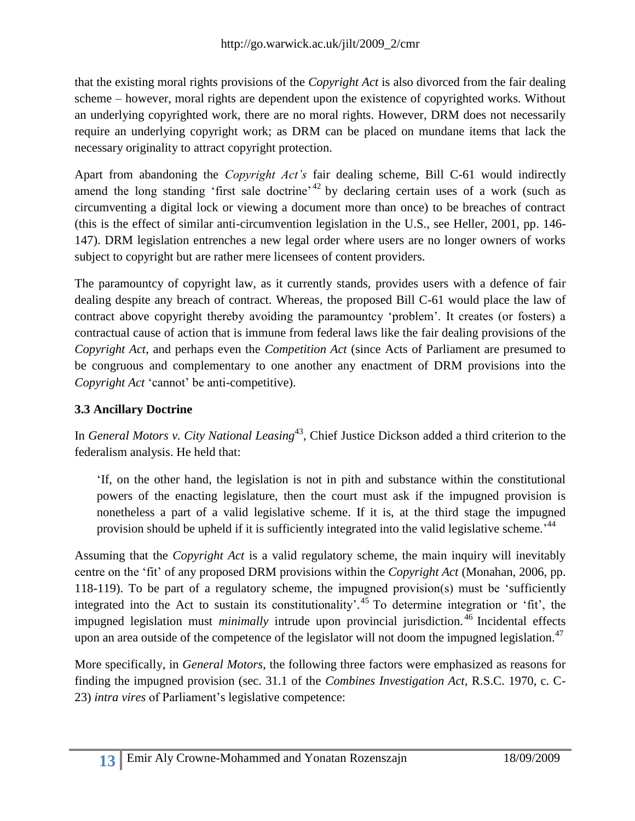that the existing moral rights provisions of the *Copyright Act* is also divorced from the fair dealing scheme – however, moral rights are dependent upon the existence of copyrighted works. Without an underlying copyrighted work, there are no moral rights. However, DRM does not necessarily require an underlying copyright work; as DRM can be placed on mundane items that lack the necessary originality to attract copyright protection.

Apart from abandoning the *Copyright Act's* fair dealing scheme, Bill C-61 would indirectly amend the long standing 'first sale doctrine'<sup> $42$ </sup> by declaring certain uses of a work (such as circumventing a digital lock or viewing a document more than once) to be breaches of contract (this is the effect of similar anti-circumvention legislation in the U.S., see Heller, 2001, pp. 146- 147). DRM legislation entrenches a new legal order where users are no longer owners of works subject to copyright but are rather mere licensees of content providers.

The paramountcy of copyright law, as it currently stands, provides users with a defence of fair dealing despite any breach of contract. Whereas, the proposed Bill C-61 would place the law of contract above copyright thereby avoiding the paramountcy 'problem'. It creates (or fosters) a contractual cause of action that is immune from federal laws like the fair dealing provisions of the *Copyright Act*, and perhaps even the *Competition Act* (since Acts of Parliament are presumed to be congruous and complementary to one another any enactment of DRM provisions into the *Copyright Act* 'cannot' be anti-competitive).

### **3.3 Ancillary Doctrine**

In *General Motors v. City National Leasing*<sup>43</sup>, Chief Justice Dickson added a third criterion to the federalism analysis. He held that:

‗If, on the other hand, the legislation is not in pith and substance within the constitutional powers of the enacting legislature, then the court must ask if the impugned provision is nonetheless a part of a valid legislative scheme. If it is, at the third stage the impugned provision should be upheld if it is sufficiently integrated into the valid legislative scheme.<sup>144</sup>

Assuming that the *Copyright Act* is a valid regulatory scheme, the main inquiry will inevitably centre on the ‗fit' of any proposed DRM provisions within the *Copyright Act* (Monahan, 2006, pp. 118-119). To be part of a regulatory scheme, the impugned provision(s) must be 'sufficiently integrated into the Act to sustain its constitutionality'.<sup>45</sup> To determine integration or 'fit', the impugned legislation must *minimally* intrude upon provincial jurisdiction. <sup>46</sup> Incidental effects upon an area outside of the competence of the legislator will not doom the impugned legislation. $^{47}$ 

More specifically, in *General Motors*, the following three factors were emphasized as reasons for finding the impugned provision (sec. 31.1 of the *Combines Investigation Act*, R.S.C. 1970, c. C-23) *intra vires* of Parliament's legislative competence: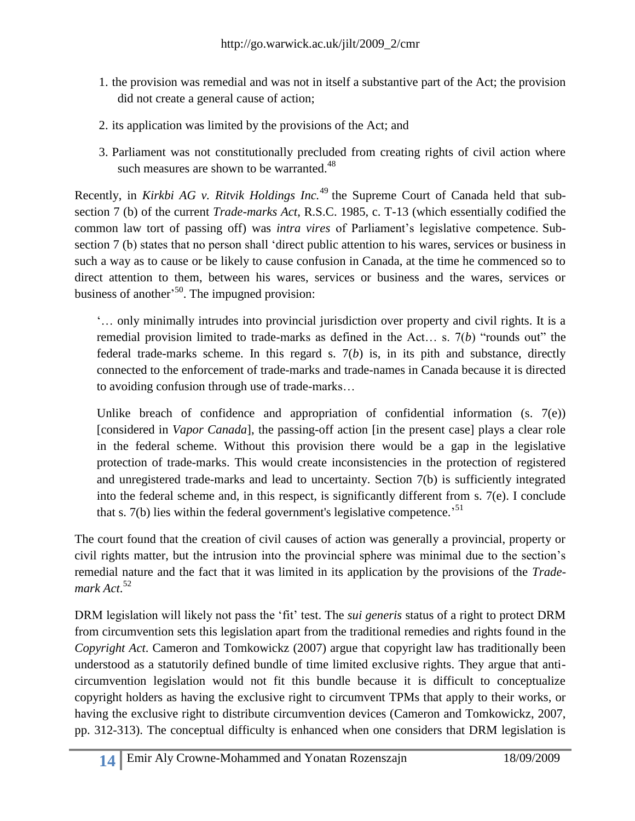- 1. the provision was remedial and was not in itself a substantive part of the Act; the provision did not create a general cause of action;
- 2. its application was limited by the provisions of the Act; and
- 3. Parliament was not constitutionally precluded from creating rights of civil action where such measures are shown to be warranted. $48$

Recently, in *Kirkbi AG v. Ritvik Holdings Inc.*<sup>49</sup> the Supreme Court of Canada held that subsection 7 (b) of the current *Trade-marks Act*, R.S.C. 1985, c. T-13 (which essentially codified the common law tort of passing off) was *intra vires* of Parliament's legislative competence. Subsection 7 (b) states that no person shall 'direct public attention to his wares, services or business in such a way as to cause or be likely to cause confusion in Canada, at the time he commenced so to direct attention to them, between his wares, services or business and the wares, services or business of another<sup>,50</sup>. The impugned provision:

‗… only minimally intrudes into provincial jurisdiction over property and civil rights. It is a remedial provision limited to trade-marks as defined in the Act... s.  $7(b)$  "rounds out" the federal trade-marks scheme. In this regard s. 7(*b*) is, in its pith and substance, directly connected to the enforcement of trade-marks and trade-names in Canada because it is directed to avoiding confusion through use of trade-marks…

Unlike breach of confidence and appropriation of confidential information  $(s, 7(e))$ [considered in *Vapor Canada*], the passing-off action [in the present case] plays a clear role in the federal scheme. Without this provision there would be a gap in the legislative protection of trade-marks. This would create inconsistencies in the protection of registered and unregistered trade-marks and lead to uncertainty. Section 7(b) is sufficiently integrated into the federal scheme and, in this respect, is significantly different from s. 7(e). I conclude that s.  $7(b)$  lies within the federal government's legislative competence.<sup>51</sup>

The court found that the creation of civil causes of action was generally a provincial, property or civil rights matter, but the intrusion into the provincial sphere was minimal due to the section's remedial nature and the fact that it was limited in its application by the provisions of the *Trademark Act*. 52

DRM legislation will likely not pass the 'fit' test. The *sui generis* status of a right to protect DRM from circumvention sets this legislation apart from the traditional remedies and rights found in the *Copyright Act*. Cameron and Tomkowickz (2007) argue that copyright law has traditionally been understood as a statutorily defined bundle of time limited exclusive rights. They argue that anticircumvention legislation would not fit this bundle because it is difficult to conceptualize copyright holders as having the exclusive right to circumvent TPMs that apply to their works, or having the exclusive right to distribute circumvention devices (Cameron and Tomkowickz, 2007, pp. 312-313). The conceptual difficulty is enhanced when one considers that DRM legislation is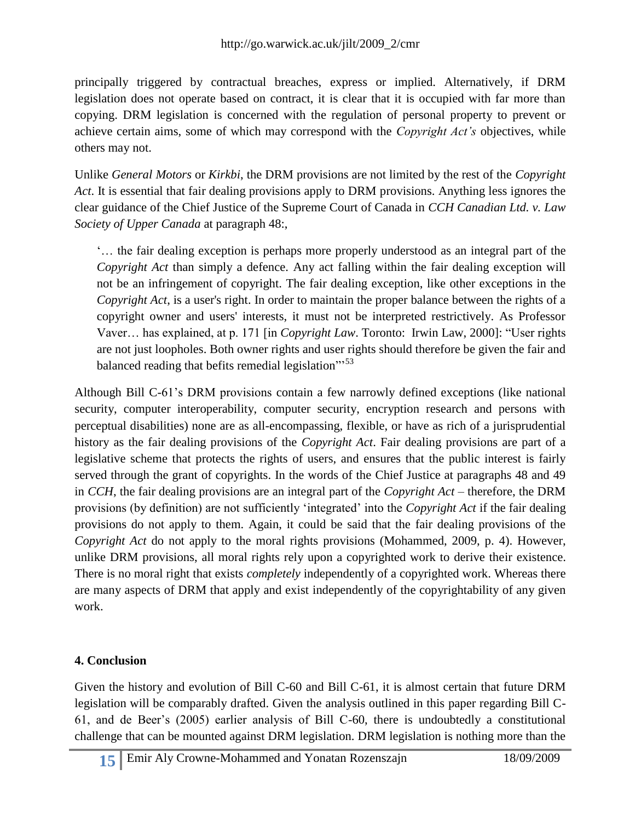principally triggered by contractual breaches, express or implied. Alternatively, if DRM legislation does not operate based on contract, it is clear that it is occupied with far more than copying. DRM legislation is concerned with the regulation of personal property to prevent or achieve certain aims, some of which may correspond with the *Copyright Act's* objectives, while others may not.

Unlike *General Motors* or *Kirkbi*, the DRM provisions are not limited by the rest of the *Copyright Act*. It is essential that fair dealing provisions apply to DRM provisions. Anything less ignores the clear guidance of the Chief Justice of the Supreme Court of Canada in *CCH Canadian Ltd. v. Law Society of Upper Canada* at paragraph 48:,

‗… the fair dealing exception is perhaps more properly understood as an integral part of the *Copyright Act* than simply a defence. Any act falling within the fair dealing exception will not be an infringement of copyright. The fair dealing exception, like other exceptions in the *Copyright Act*, is a user's right. In order to maintain the proper balance between the rights of a copyright owner and users' interests, it must not be interpreted restrictively. As Professor Vaver... has explained, at p. 171 [in *Copyright Law*. Toronto: Irwin Law, 2000]: "User rights are not just loopholes. Both owner rights and user rights should therefore be given the fair and balanced reading that befits remedial legislation"<sup>53</sup>

Although Bill C-61's DRM provisions contain a few narrowly defined exceptions (like national security, computer interoperability, computer security, encryption research and persons with perceptual disabilities) none are as all-encompassing, flexible, or have as rich of a jurisprudential history as the fair dealing provisions of the *Copyright Act*. Fair dealing provisions are part of a legislative scheme that protects the rights of users, and ensures that the public interest is fairly served through the grant of copyrights. In the words of the Chief Justice at paragraphs 48 and 49 in *CCH*, the fair dealing provisions are an integral part of the *Copyright Act* – therefore, the DRM provisions (by definition) are not sufficiently ‗integrated' into the *Copyright Act* if the fair dealing provisions do not apply to them. Again, it could be said that the fair dealing provisions of the *Copyright Act* do not apply to the moral rights provisions (Mohammed, 2009, p. 4). However, unlike DRM provisions, all moral rights rely upon a copyrighted work to derive their existence. There is no moral right that exists *completely* independently of a copyrighted work. Whereas there are many aspects of DRM that apply and exist independently of the copyrightability of any given work.

## **4. Conclusion**

Given the history and evolution of Bill C-60 and Bill C-61, it is almost certain that future DRM legislation will be comparably drafted. Given the analysis outlined in this paper regarding Bill C-61, and de Beer's (2005) earlier analysis of Bill C-60, there is undoubtedly a constitutional challenge that can be mounted against DRM legislation. DRM legislation is nothing more than the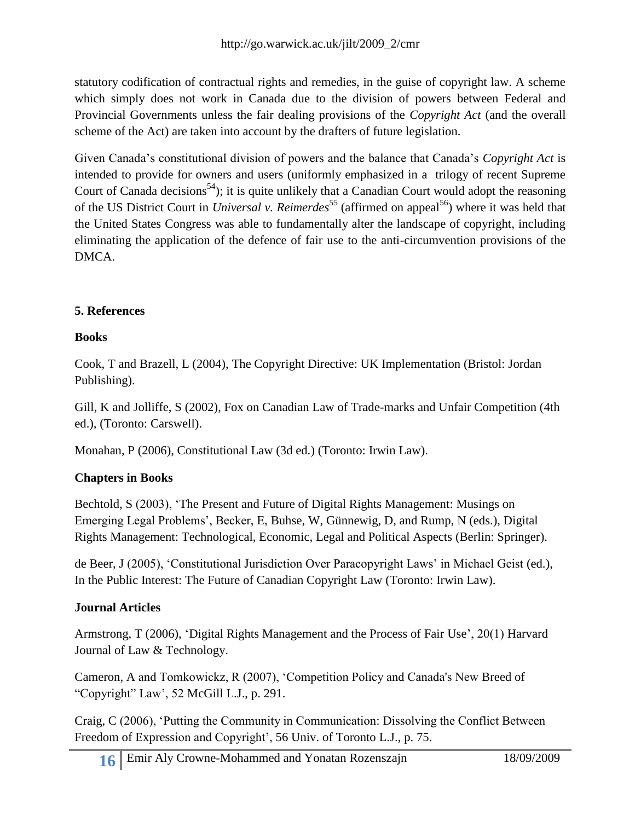statutory codification of contractual rights and remedies, in the guise of copyright law. A scheme which simply does not work in Canada due to the division of powers between Federal and Provincial Governments unless the fair dealing provisions of the *Copyright Act* (and the overall scheme of the Act) are taken into account by the drafters of future legislation.

Given Canada's constitutional division of powers and the balance that Canada's *Copyright Act* is intended to provide for owners and users (uniformly emphasized in a trilogy of recent Supreme Court of Canada decisions<sup>54</sup>); it is quite unlikely that a Canadian Court would adopt the reasoning of the US District Court in *Universal v. Reimerdes*<sup>55</sup> (affirmed on appeal<sup>56</sup>) where it was held that the United States Congress was able to fundamentally alter the landscape of copyright, including eliminating the application of the defence of fair use to the anti-circumvention provisions of the DMCA.

### **5. References**

### **Books**

Cook, T and Brazell, L (2004), The Copyright Directive: UK Implementation (Bristol: Jordan Publishing).

Gill, K and Jolliffe, S (2002), Fox on Canadian Law of Trade-marks and Unfair Competition (4th ed.), (Toronto: Carswell).

Monahan, P (2006), Constitutional Law (3d ed.) (Toronto: Irwin Law).

### **Chapters in Books**

Bechtold, S (2003), 'The Present and Future of Digital Rights Management: Musings on Emerging Legal Problems', Becker, E, Buhse, W, Günnewig, D, and Rump, N (eds.), Digital Rights Management: Technological, Economic, Legal and Political Aspects (Berlin: Springer).

de Beer, J (2005), 'Constitutional Jurisdiction Over Paracopyright Laws' in Michael Geist (ed.), In the Public Interest: The Future of Canadian Copyright Law (Toronto: Irwin Law).

### **Journal Articles**

Armstrong, T (2006), 'Digital Rights Management and the Process of Fair Use', 20(1) Harvard Journal of Law & Technology.

Cameron, A and Tomkowickz, R (2007), ‗Competition Policy and Canada's New Breed of ―Copyright‖ Law', 52 McGill L.J., p. 291.

Craig, C (2006), 'Putting the Community in Communication: Dissolving the Conflict Between Freedom of Expression and Copyright', 56 Univ. of Toronto L.J., p. 75.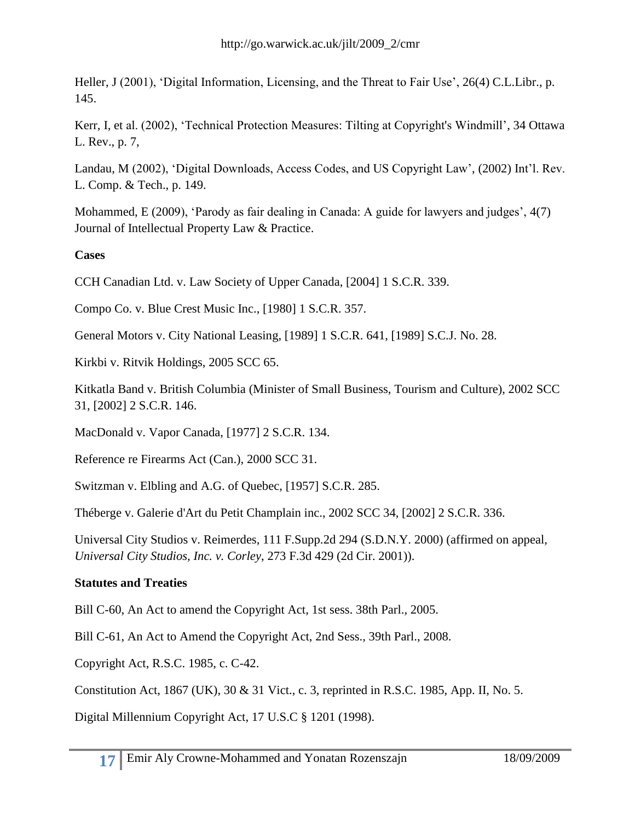Heller, J (2001), 'Digital Information, Licensing, and the Threat to Fair Use', 26(4) C.L.Libr., p. 145.

Kerr, I, et al. (2002), 'Technical Protection Measures: Tilting at Copyright's Windmill', 34 Ottawa L. Rev., p. 7,

Landau, M (2002), 'Digital Downloads, Access Codes, and US Copyright Law', (2002) Int'l. Rev. L. Comp. & Tech., p. 149.

Mohammed, E (2009), 'Parody as fair dealing in Canada: A guide for lawyers and judges',  $4(7)$ Journal of Intellectual Property Law & Practice.

### **Cases**

CCH Canadian Ltd. v. Law Society of Upper Canada, [2004] 1 S.C.R. 339.

Compo Co. v. Blue Crest Music Inc., [1980] 1 S.C.R. 357.

General Motors v. City National Leasing, [1989] 1 S.C.R. 641, [1989] S.C.J. No. 28.

Kirkbi v. Ritvik Holdings, 2005 SCC 65.

Kitkatla Band v. British Columbia (Minister of Small Business, Tourism and Culture), 2002 SCC 31, [2002] 2 S.C.R. 146.

MacDonald v. Vapor Canada, [1977] 2 S.C.R. 134.

Reference re Firearms Act (Can.), 2000 SCC 31.

Switzman v. Elbling and A.G. of Quebec, [1957] S.C.R. 285.

Théberge v. Galerie d'Art du Petit Champlain inc., 2002 SCC 34, [2002] 2 S.C.R. 336.

Universal City Studios v. Reimerdes, 111 F.Supp.2d 294 (S.D.N.Y. 2000) (affirmed on appeal, *Universal City Studios, Inc. v. Corley*, 273 F.3d 429 (2d Cir. 2001)).

#### **Statutes and Treaties**

Bill C-60, An Act to amend the Copyright Act, 1st sess. 38th Parl., 2005.

Bill C-61, An Act to Amend the Copyright Act, 2nd Sess., 39th Parl., 2008.

Copyright Act, R.S.C. 1985, c. C-42.

Constitution Act, 1867 (UK), 30 & 31 Vict., c. 3, reprinted in R.S.C. 1985, App. II, No. 5.

Digital Millennium Copyright Act, 17 U.S.C § 1201 (1998).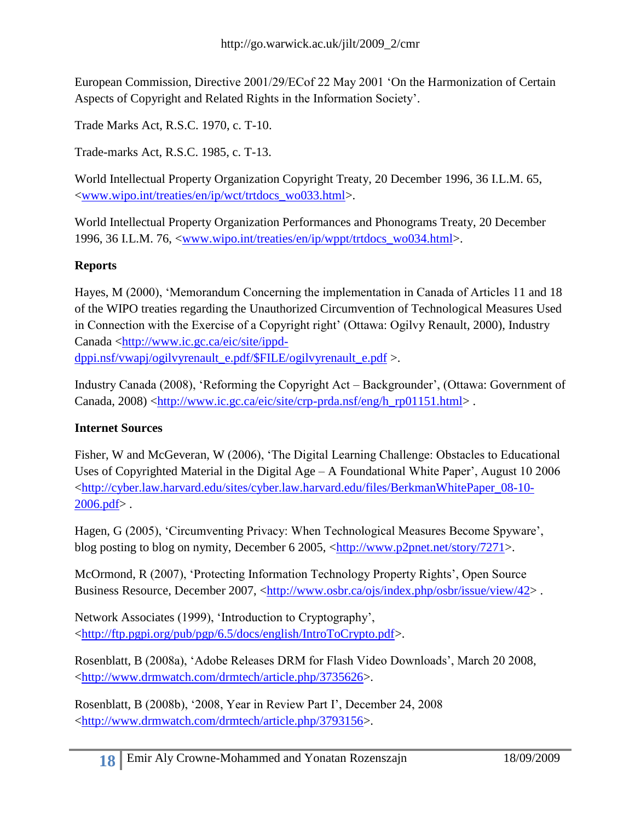European Commission, Directive 2001/29/ECof 22 May 2001 'On the Harmonization of Certain Aspects of Copyright and Related Rights in the Information Society'.

Trade Marks Act, R.S.C. 1970, c. T-10.

Trade-marks Act, R.S.C. 1985, c. T-13.

World Intellectual Property Organization Copyright Treaty, 20 December 1996, 36 I.L.M. 65, [<www.wipo.int/treaties/en/ip/wct/trtdocs\\_wo033.html>](http://www.wipo.int/treaties/en/ip/wct/trtdocs_wo033.html).

World Intellectual Property Organization Performances and Phonograms Treaty, 20 December 1996, 36 I.L.M. 76, [<www.wipo.int/treaties/en/ip/wppt/trtdocs\\_wo034.html>](http://www.wipo.int/treaties/en/ip/wppt/trtdocs_wo034.html).

#### **Reports**

Hayes, M (2000), 'Memorandum Concerning the implementation in Canada of Articles 11 and 18 of the WIPO treaties regarding the Unauthorized Circumvention of Technological Measures Used in Connection with the Exercise of a Copyright right' (Ottawa: Ogilvy Renault, 2000), Industry Canada [<http://www.ic.gc.ca/eic/site/ippd](http://www.ic.gc.ca/eic/site/ippd-dppi.nsf/vwapj/ogilvyrenault_e.pdf/$FILE/ogilvyrenault_e.pdf)[dppi.nsf/vwapj/ogilvyrenault\\_e.pdf/\\$FILE/ogilvyrenault\\_e.pdf](http://www.ic.gc.ca/eic/site/ippd-dppi.nsf/vwapj/ogilvyrenault_e.pdf/$FILE/ogilvyrenault_e.pdf) >.

Industry Canada (2008), 'Reforming the Copyright Act – Backgrounder', (Ottawa: Government of Canada,  $2008$ )  $\langle$ http://www.ic.gc.ca/eic/site/crp-prda.nsf/eng/h\_rp01151.html>.

#### **Internet Sources**

Fisher, W and McGeveran, W (2006), 'The Digital Learning Challenge: Obstacles to Educational Uses of Copyrighted Material in the Digital Age – A Foundational White Paper', August 10 2006 [<http://cyber.law.harvard.edu/sites/cyber.law.harvard.edu/files/BerkmanWhitePaper\\_08-10-](http://cyber.law.harvard.edu/sites/cyber.law.harvard.edu/files/BerkmanWhitePaper_08-10-2006.pdf)  $2006.$ pdf>.

Hagen, G (2005), ‗Circumventing Privacy: When Technological Measures Become Spyware', blog posting to blog on nymity, December 6 2005, [<http://www.p2pnet.net/story/7271>](http://www.p2pnet.net/story/7271).

McOrmond, R (2007), ‗Protecting Information Technology Property Rights', Open Source Business Resource, December 2007, [<http://www.osbr.ca/ojs/index.php/osbr/issue/view/42>](http://www.osbr.ca/ojs/index.php/osbr/issue/view/42).

Network Associates (1999), 'Introduction to Cryptography', [<http://ftp.pgpi.org/pub/pgp/6.5/docs/english/IntroToCrypto.pdf>](http://ftp.pgpi.org/pub/pgp/6.5/docs/english/IntroToCrypto.pdf).

Rosenblatt, B (2008a), ‗Adobe Releases DRM for Flash Video Downloads', March 20 2008, [<http://www.drmwatch.com/drmtech/article.php/3735626>](http://www.drmwatch.com/drmtech/article.php/3735626).

Rosenblatt, B (2008b), ‗2008, Year in Review Part I', December 24, 2008 [<http://www.drmwatch.com/drmtech/article.php/3793156>](http://www.drmwatch.com/drmtech/article.php/3793156).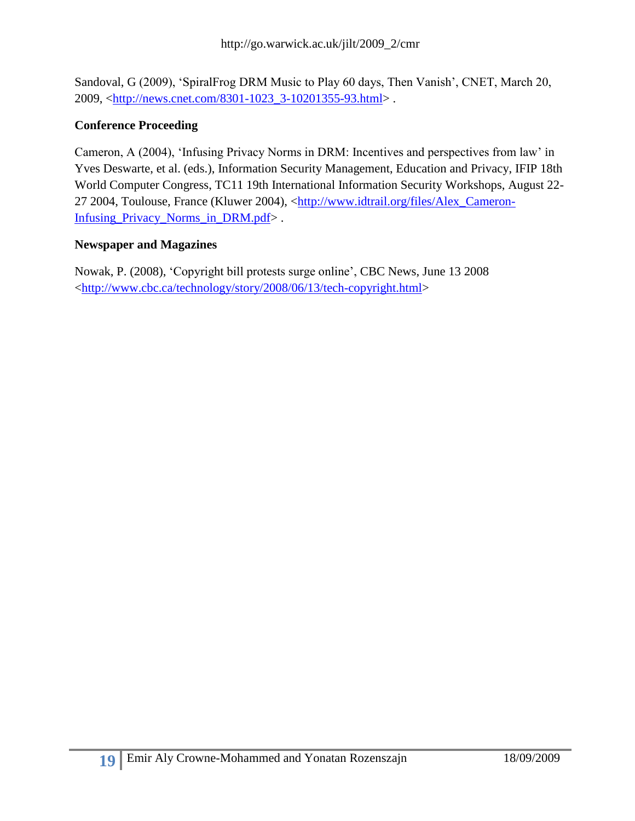Sandoval, G (2009), 'SpiralFrog DRM Music to Play 60 days, Then Vanish', CNET, March 20, 2009, [<http://news.cnet.com/8301-1023\\_3-10201355-93.html>](http://news.cnet.com/8301-1023_3-10201355-93.html) .

#### **Conference Proceeding**

Cameron, A (2004), 'Infusing Privacy Norms in DRM: Incentives and perspectives from law' in Yves Deswarte, et al. (eds.), Information Security Management, Education and Privacy, IFIP 18th World Computer Congress, TC11 19th International Information Security Workshops, August 22- 27 2004, Toulouse, France (Kluwer 2004), [<http://www.idtrail.org/files/Alex\\_Cameron-](http://www.idtrail.org/files/Alex_Cameron-Infusing_Privacy_Norms_in_DRM.pdf)Infusing Privacy Norms in DRM.pdf>.

#### **Newspaper and Magazines**

Nowak, P. (2008), ‗Copyright bill protests surge online', CBC News, June 13 2008 [<http://www.cbc.ca/technology/story/2008/06/13/tech-copyright.html>](http://www.cbc.ca/technology/story/2008/06/13/tech-copyright.html)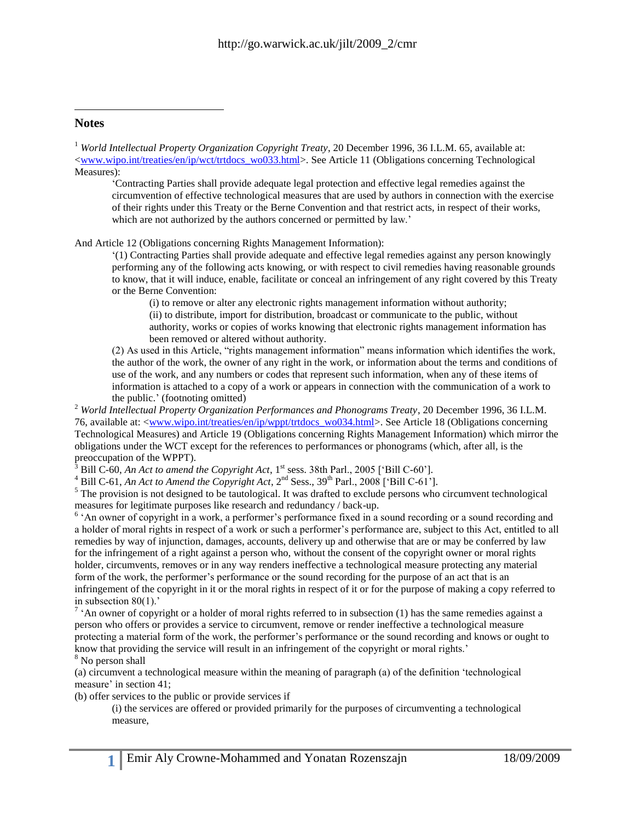#### **Notes**

 $\overline{a}$ 

<sup>1</sup> *World Intellectual Property Organization Copyright Treaty*, 20 December 1996, 36 I.L.M. 65, available at: [<www.wipo.int/treaties/en/ip/wct/trtdocs\\_wo033.html>](http://www.wipo.int/treaties/en/ip/wct/trtdocs_wo033.html). See Article 11 (Obligations concerning Technological Measures):

‗Contracting Parties shall provide adequate legal protection and effective legal remedies against the circumvention of effective technological measures that are used by authors in connection with the exercise of their rights under this Treaty or the Berne Convention and that restrict acts, in respect of their works, which are not authorized by the authors concerned or permitted by law.'

And Article 12 (Obligations concerning Rights Management Information):

‗(1) Contracting Parties shall provide adequate and effective legal remedies against any person knowingly performing any of the following acts knowing, or with respect to civil remedies having reasonable grounds to know, that it will induce, enable, facilitate or conceal an infringement of any right covered by this Treaty or the Berne Convention:

(i) to remove or alter any electronic rights management information without authority; (ii) to distribute, import for distribution, broadcast or communicate to the public, without authority, works or copies of works knowing that electronic rights management information has been removed or altered without authority.

(2) As used in this Article, "rights management information" means information which identifies the work, the author of the work, the owner of any right in the work, or information about the terms and conditions of use of the work, and any numbers or codes that represent such information, when any of these items of information is attached to a copy of a work or appears in connection with the communication of a work to the public.' (footnoting omitted)

<sup>2</sup> *World Intellectual Property Organization Performances and Phonograms Treaty*, 20 December 1996, 36 I.L.M. 76, available at: [<www.wipo.int/treaties/en/ip/wppt/trtdocs\\_wo034.html>](http://www.wipo.int/treaties/en/ip/wppt/trtdocs_wo034.html). See Article 18 (Obligations concerning Technological Measures) and Article 19 (Obligations concerning Rights Management Information) which mirror the obligations under the WCT except for the references to performances or phonograms (which, after all, is the preoccupation of the WPPT).

Bill C-60, *An Act to amend the Copyright Act*, 1<sup>st</sup> sess. 38th Parl., 2005 ['Bill C-60'].

<sup>4</sup> Bill C-61, *An Act to Amend the Copyright Act*, 2<sup>nd</sup> Sess., 39<sup>th</sup> Parl., 2008 ['Bill C-61'].

<sup>5</sup> The provision is not designed to be tautological. It was drafted to exclude persons who circumvent technological measures for legitimate purposes like research and redundancy / back-up.

<sup>6</sup> 'An owner of copyright in a work, a performer's performance fixed in a sound recording or a sound recording and a holder of moral rights in respect of a work or such a performer's performance are, subject to this Act, entitled to all remedies by way of injunction, damages, accounts, delivery up and otherwise that are or may be conferred by law for the infringement of a right against a person who, without the consent of the copyright owner or moral rights holder, circumvents, removes or in any way renders ineffective a technological measure protecting any material form of the work, the performer's performance or the sound recording for the purpose of an act that is an infringement of the copyright in it or the moral rights in respect of it or for the purpose of making a copy referred to in subsection 80(1).'

 $^7$   $\cdot$  An owner of copyright or a holder of moral rights referred to in subsection (1) has the same remedies against a person who offers or provides a service to circumvent, remove or render ineffective a technological measure protecting a material form of the work, the performer's performance or the sound recording and knows or ought to know that providing the service will result in an infringement of the copyright or moral rights.' <sup>8</sup> No person shall

 $(a)$  circumvent a technological measure within the meaning of paragraph  $(a)$  of the definition 'technological measure' in section 41;

(b) offer services to the public or provide services if

(i) the services are offered or provided primarily for the purposes of circumventing a technological measure,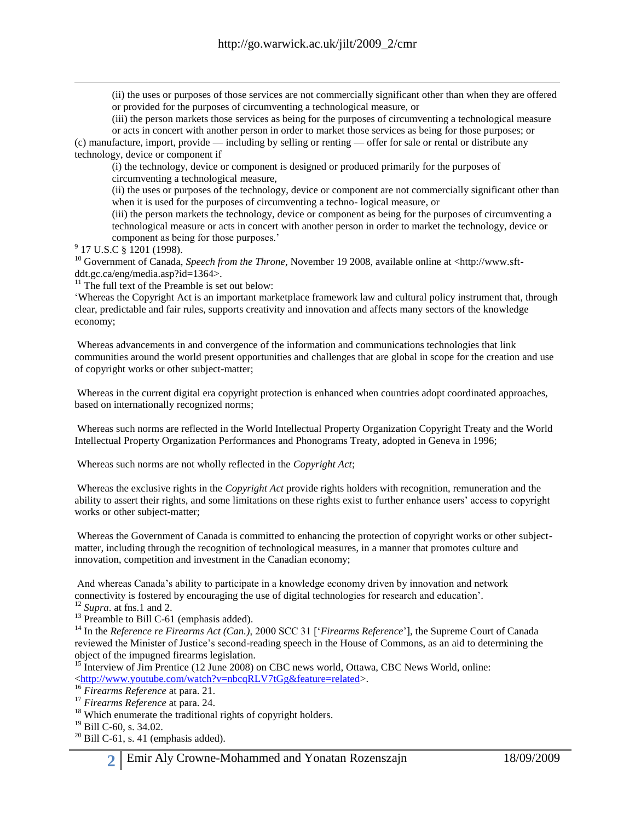(ii) the uses or purposes of those services are not commercially significant other than when they are offered or provided for the purposes of circumventing a technological measure, or

(iii) the person markets those services as being for the purposes of circumventing a technological measure or acts in concert with another person in order to market those services as being for those purposes; or

(c) manufacture, import, provide — including by selling or renting — offer for sale or rental or distribute any technology, device or component if

(i) the technology, device or component is designed or produced primarily for the purposes of circumventing a technological measure,

(ii) the uses or purposes of the technology, device or component are not commercially significant other than when it is used for the purposes of circumventing a techno- logical measure, or

(iii) the person markets the technology, device or component as being for the purposes of circumventing a technological measure or acts in concert with another person in order to market the technology, device or component as being for those purposes.'

<sup>9</sup> 17 U.S.C § 1201 (1998).

 $\overline{a}$ 

<sup>10</sup> Government of Canada, *Speech from the Throne*, November 19 2008, available online at <http://www.sftddt.gc.ca/eng/media.asp?id=1364>.

 $11$  The full text of the Preamble is set out below:

‗Whereas the Copyright Act is an important marketplace framework law and cultural policy instrument that, through clear, predictable and fair rules, supports creativity and innovation and affects many sectors of the knowledge economy;

Whereas advancements in and convergence of the information and communications technologies that link communities around the world present opportunities and challenges that are global in scope for the creation and use of copyright works or other subject-matter;

Whereas in the current digital era copyright protection is enhanced when countries adopt coordinated approaches, based on internationally recognized norms;

Whereas such norms are reflected in the World Intellectual Property Organization Copyright Treaty and the World Intellectual Property Organization Performances and Phonograms Treaty, adopted in Geneva in 1996;

Whereas such norms are not wholly reflected in the *Copyright Act*;

Whereas the exclusive rights in the *Copyright Act* provide rights holders with recognition, remuneration and the ability to assert their rights, and some limitations on these rights exist to further enhance users' access to copyright works or other subject-matter;

Whereas the Government of Canada is committed to enhancing the protection of copyright works or other subjectmatter, including through the recognition of technological measures, in a manner that promotes culture and innovation, competition and investment in the Canadian economy;

And whereas Canada's ability to participate in a knowledge economy driven by innovation and network connectivity is fostered by encouraging the use of digital technologies for research and education'.

 $12$  *Supra*. at fns.1 and 2.

<sup>13</sup> Preamble to Bill C-61 (emphasis added).

<sup>14</sup> In the *Reference re Firearms Act (Can.)*, 2000 SCC 31 [*Careffrence*'], the Supreme Court of Canada reviewed the Minister of Justice's second-reading speech in the House of Commons, as an aid to determining the object of the impugned firearms legislation.

<sup>15</sup> Interview of Jim Prentice (12 June 2008) on CBC news world, Ottawa, CBC News World, online: [<http://www.youtube.com/watch?v=nbcqRLV7tGg&feature=related>](http://www.youtube.com/watch?v=nbcqRLV7tGg&feature=related).

<sup>16</sup> *Firearms Reference* at para. 21.

<sup>17</sup> *Firearms Reference* at para. 24.

<sup>18</sup> Which enumerate the traditional rights of copyright holders.

<sup>19</sup> Bill C-60, s. 34.02.

 $20$  Bill C-61, s. 41 (emphasis added).